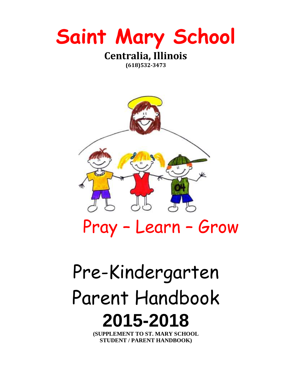

**(618)532-3473**



# Pray – Learn – Grow

# Pre-Kindergarten Parent Handbook **2015-2018**

**(SUPPLEMENT TO ST. MARY SCHOOL STUDENT / PARENT HANDBOOK)**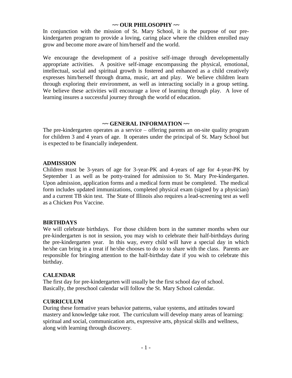# **~~ OUR PHILOSOPHY ~~**

In conjunction with the mission of St. Mary School, it is the purpose of our prekindergarten program to provide a loving, caring place where the children enrolled may grow and become more aware of him/herself and the world.

We encourage the development of a positive self-image through developmentally appropriate activities. A positive self-image encompassing the physical, emotional, intellectual, social and spiritual growth is fostered and enhanced as a child creatively expresses him/herself through drama, music, art and play. We believe children learn through exploring their environment, as well as interacting socially in a group setting. We believe these activities will encourage a love of learning through play. A love of learning insures a successful journey through the world of education.

# **~~ GENERAL INFORMATION ~~**

The pre-kindergarten operates as a service – offering parents an on-site quality program for children 3 and 4 years of age. It operates under the principal of St. Mary School but is expected to be financially independent.

# **ADMISSION**

Children must be 3-years of age for 3-year-PK and 4-years of age for 4-year-PK by September 1 as well as be potty-trained for admission to St. Mary Pre-kindergarten. Upon admission, application forms and a medical form must be completed. The medical form includes updated immunizations, completed physical exam (signed by a physician) and a current TB skin test. The State of Illinois also requires a lead-screening test as well as a Chicken Pox Vaccine.

# **BIRTHDAYS**

We will celebrate birthdays. For those children born in the summer months when our pre-kindergarten is not in session, you may wish to celebrate their half-birthdays during the pre-kindergarten year. In this way, every child will have a special day in which he/she can bring in a treat if he/she chooses to do so to share with the class. Parents are responsible for bringing attention to the half-birthday date if you wish to celebrate this birthday.

#### **CALENDAR**

The first day for pre-kindergarten will usually be the first school day of school. Basically, the preschool calendar will follow the St. Mary School calendar.

#### **CURRICULUM**

During these formative years behavior patterns, value systems, and attitudes toward mastery and knowledge take root. The curriculum will develop many areas of learning: spiritual and social, communication arts, expressive arts, physical skills and wellness, along with learning through discovery.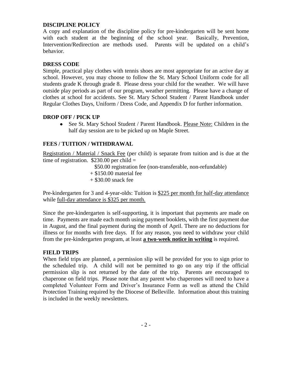# **DISCIPLINE POLICY**

A copy and explanation of the discipline policy for pre-kindergarten will be sent home with each student at the beginning of the school year. Basically, Prevention, Intervention/Redirection are methods used. Parents will be updated on a child's behavior.

# **DRESS CODE**

Simple, practical play clothes with tennis shoes are most appropriate for an active day at school. However, you may choose to follow the St. Mary School Uniform code for all students grade K through grade 8. Please dress your child for the weather. We will have outside play periods as part of our program, weather permitting. Please have a change of clothes at school for accidents. See St. Mary School Student / Parent Handbook under Regular Clothes Days, Uniform / Dress Code, and Appendix D for further information.

# **DROP OFF / PICK UP**

• See St. Mary School Student / Parent Handbook. Please Note: Children in the half day session are to be picked up on Maple Street.

# **FEES / TUITION / WITHDRAWAL**

Registration / Material / Snack Fee (per child) is separate from tuition and is due at the time of registration.  $$230.00$  per child =

- \$50.00 registration fee (non-transferable, non-refundable)
- + \$150.00 material fee
- $+$  \$30.00 snack fee

Pre-kindergarten for 3 and 4-year-olds: Tuition is \$225 per month for half-day attendance while full-day attendance is \$325 per month.

Since the pre-kindergarten is self-supporting, it is important that payments are made on time. Payments are made each month using payment booklets, with the first payment due in August, and the final payment during the month of April. There are no deductions for illness or for months with free days. If for any reason, you need to withdraw your child from the pre-kindergarten program, at least **a two-week notice in writing** is required.

#### **FIELD TRIPS**

When field trips are planned, a permission slip will be provided for you to sign prior to the scheduled trip. A child will not be permitted to go on any trip if the official permission slip is not returned by the date of the trip. Parents are encouraged to chaperone on field trips. Please note that any parent who chaperones will need to have a completed Volunteer Form and Driver's Insurance Form as well as attend the Child Protection Training required by the Diocese of Belleville. Information about this training is included in the weekly newsletters.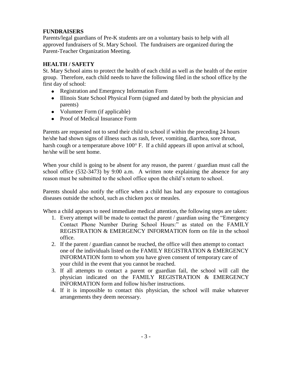# **FUNDRAISERS**

Parents/legal guardians of Pre-K students are on a voluntary basis to help with all approved fundraisers of St. Mary School. The fundraisers are organized during the Parent-Teacher Organization Meeting.

# **HEALTH / SAFETY**

St. Mary School aims to protect the health of each child as well as the health of the entire group. Therefore, each child needs to have the following filed in the school office by the first day of school:

- Registration and Emergency Information Form
- Illinois State School Physical Form (signed and dated by both the physician and parents)
- Volunteer Form (if applicable)
- Proof of Medical Insurance Form

Parents are requested not to send their child to school if within the preceding 24 hours he/she had shown signs of illness such as rash, fever, vomiting, diarrhea, sore throat, harsh cough or a temperature above  $100^{\circ}$  F. If a child appears ill upon arrival at school, he/she will be sent home.

When your child is going to be absent for any reason, the parent / guardian must call the school office (532-3473) by 9:00 a.m. A written note explaining the absence for any reason must be submitted to the school office upon the child's return to school.

Parents should also notify the office when a child has had any exposure to contagious diseases outside the school, such as chicken pox or measles.

When a child appears to need immediate medical attention, the following steps are taken:

- 1. Every attempt will be made to contact the parent / guardian using the "Emergency Contact Phone Number During School Hours:" as stated on the FAMILY REGISTRATION & EMERGENCY INFORMATION form on file in the school office.
- 2. If the parent / guardian cannot be reached, the office will then attempt to contact one of the individuals listed on the FAMILY REGISTRATION & EMERGENCY INFORMATION form to whom you have given consent of temporary care of your child in the event that you cannot be reached.
- 3. If all attempts to contact a parent or guardian fail, the school will call the physician indicated on the FAMILY REGISTRATION & EMERGENCY INFORMATION form and follow his/her instructions.
- 4. If it is impossible to contact this physician, the school will make whatever arrangements they deem necessary.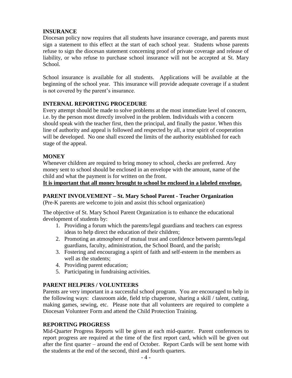# **INSURANCE**

Diocesan policy now requires that all students have insurance coverage, and parents must sign a statement to this effect at the start of each school year. Students whose parents refuse to sign the diocesan statement concerning proof of private coverage and release of liability, or who refuse to purchase school insurance will not be accepted at St. Mary School.

School insurance is available for all students. Applications will be available at the beginning of the school year. This insurance will provide adequate coverage if a student is not covered by the parent's insurance.

# **INTERNAL REPORTING PROCEDURE**

Every attempt should be made to solve problems at the most immediate level of concern, i.e. by the person most directly involved in the problem. Individuals with a concern should speak with the teacher first, then the principal, and finally the pastor. When this line of authority and appeal is followed and respected by all, a true spirit of cooperation will be developed. No one shall exceed the limits of the authority established for each stage of the appeal.

# **MONEY**

Whenever children are required to bring money to school, checks are preferred. Any money sent to school should be enclosed in an envelope with the amount, name of the child and what the payment is for written on the front.

**It is important that all money brought to school be enclosed in a labeled envelope.**

# **PARENT INVOLVEMENT – St. Mary School Parent - Teacher Organization**

(Pre-K parents are welcome to join and assist this school organization)

The objective of St. Mary School Parent Organization is to enhance the educational development of students by:

- 1. Providing a forum which the parents/legal guardians and teachers can express ideas to help direct the education of their children;
- 2. Promoting an atmosphere of mutual trust and confidence between parents/legal guardians, faculty, administration, the School Board, and the parish;
- 3. Fostering and encouraging a spirit of faith and self-esteem in the members as well as the students;
- 4. Providing parent education;
- 5. Participating in fundraising activities.

# **PARENT HELPERS / VOLUNTEERS**

Parents are very important in a successful school program. You are encouraged to help in the following ways: classroom aide, field trip chaperone, sharing a skill / talent, cutting, making games, sewing, etc. Please note that all volunteers are required to complete a Diocesan Volunteer Form and attend the Child Protection Training.

# **REPORTING PROGRESS**

Mid-Quarter Progress Reports will be given at each mid-quarter. Parent conferences to report progress are required at the time of the first report card, which will be given out after the first quarter – around the end of October. Report Cards will be sent home with the students at the end of the second, third and fourth quarters.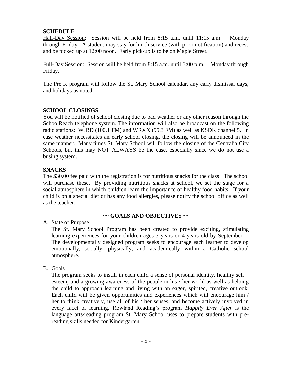# **SCHEDULE**

Half-Day Session: Session will be held from 8:15 a.m. until 11:15 a.m. – Monday through Friday. A student may stay for lunch service (with prior notification) and recess and be picked up at 12:00 noon. Early pick-up is to be on Maple Street.

Full-Day Session: Session will be held from 8:15 a.m. until 3:00 p.m. – Monday through Friday.

The Pre K program will follow the St. Mary School calendar, any early dismissal days, and holidays as noted.

# **SCHOOL CLOSINGS**

You will be notified of school closing due to bad weather or any other reason through the SchoolReach telephone system. The information will also be broadcast on the following radio stations: WJBD (100.1 FM) and WRXX (95.3 FM) as well as KSDK channel 5. In case weather necessitates an early school closing, the closing will be announced in the same manner. Many times St. Mary School will follow the closing of the Centralia City Schools, but this may NOT ALWAYS be the case, especially since we do not use a busing system.

#### **SNACKS**

The \$30.00 fee paid with the registration is for nutritious snacks for the class. The school will purchase these. By providing nutritious snacks at school, we set the stage for a social atmosphere in which children learn the importance of healthy food habits. If your child is on a special diet or has any food allergies, please notify the school office as well as the teacher.

#### **~~ GOALS AND OBJECTIVES ~~**

#### A. State of Purpose

The St. Mary School Program has been created to provide exciting, stimulating learning experiences for your children ages 3 years or 4 years old by September 1. The developmentally designed program seeks to encourage each learner to develop emotionally, socially, physically, and academically within a Catholic school atmosphere.

#### B. Goals

The program seeks to instill in each child a sense of personal identity, healthy self – esteem, and a growing awareness of the people in his / her world as well as helping the child to approach learning and living with an eager, spirited, creative outlook. Each child will be given opportunities and experiences which will encourage him / her to think creatively, use all of his / her senses, and become actively involved in every facet of learning. Rowland Reading's program *Happily Ever After* is the language arts/reading program St. Mary School uses to prepare students with prereading skills needed for Kindergarten.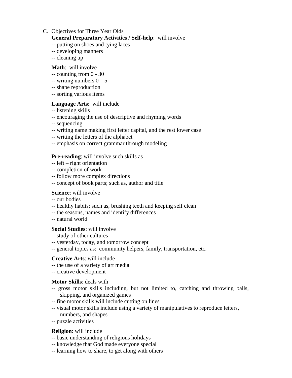# C. Objectives for Three Year Olds

# **General Preparatory Activities / Self-help**: will involve

- -- putting on shoes and tying laces
- -- developing manners
- -- cleaning up

#### **Math**: will involve

- -- counting from 0 30
- -- writing numbers  $0 5$
- -- shape reproduction
- -- sorting various items

#### **Language Arts**: will include

- -- listening skills
- -- encouraging the use of descriptive and rhyming words
- -- sequencing
- -- writing name making first letter capital, and the rest lower case
- -- writing the letters of the alphabet
- -- emphasis on correct grammar through modeling

## **Pre-reading**: will involve such skills as

- -- left right orientation
- -- completion of work
- -- follow more complex directions
- -- concept of book parts; such as, author and title

#### **Science**: will involve

- -- our bodies
- -- healthy habits; such as, brushing teeth and keeping self clean
- -- the seasons, names and identify differences
- -- natural world

#### **Social Studies**: will involve

- -- study of other cultures
- -- yesterday, today, and tomorrow concept
- -- general topics as: community helpers, family, transportation, etc.

#### **Creative Arts**: will include

- -- the use of a variety of art media
- -- creative development

#### **Motor Skills**: deals with

- -- gross motor skills including, but not limited to, catching and throwing balls, skipping, and organized games
- -- fine motor skills will include cutting on lines
- -- visual motor skills include using a variety of manipulatives to reproduce letters, numbers, and shapes
- -- puzzle activities

#### **Religion**: will include

- -- basic understanding of religious holidays
- -- knowledge that God made everyone special
- -- learning how to share, to get along with others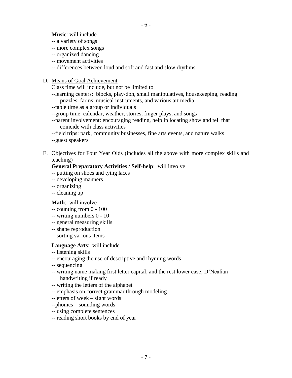**Music**: will include

- -- a variety of songs
- -- more complex songs
- -- organized dancing
- -- movement activities
- -- differences between loud and soft and fast and slow rhythms
- D. Means of Goal Achievement

Class time will include, but not be limited to

--learning centers: blocks, play-doh, small manipulatives, housekeeping, reading puzzles, farms, musical instruments, and various art media

- --table time as a group or individuals
- --group time: calendar, weather, stories, finger plays, and songs
- --parent involvement: encouraging reading, help in locating show and tell that coincide with class activities
- --field trips: park, community businesses, fine arts events, and nature walks
- --guest speakers
- E. Objectives for Four Year Olds (includes all the above with more complex skills and teaching)

# **General Preparatory Activities / Self-help**: will involve

- -- putting on shoes and tying laces
- -- developing manners
- -- organizing
- -- cleaning up

#### **Math**: will involve

- -- counting from 0 100
- -- writing numbers 0 10
- -- general measuring skills
- -- shape reproduction
- -- sorting various items

# **Language Arts**: will include

- -- listening skills
- -- encouraging the use of descriptive and rhyming words
- -- sequencing
- -- writing name making first letter capital, and the rest lower case; D'Nealian handwriting if ready
- -- writing the letters of the alphabet
- -- emphasis on correct grammar through modeling
- --letters of week sight words
- --phonics sounding words
- -- using complete sentences
- -- reading short books by end of year